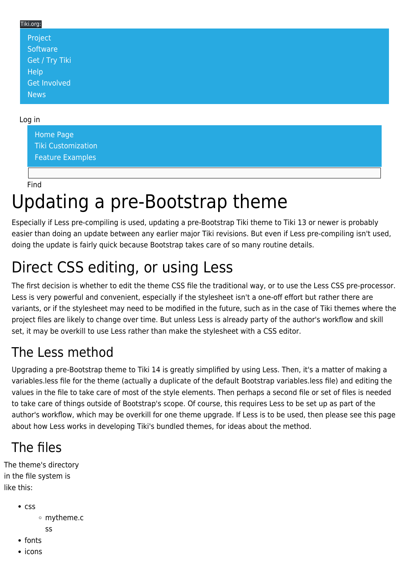#### Tiki.org: [Project](https://tiki.org/Project Introduction) **[Software](https://tiki.org/Software Overview and Model)** [Get / Try Tiki](https://tiki.org/Get Tiki - Try Tiki) [Help](https://tiki.org/Get Help) [Get Involved](https://tiki.org/Get Involved) [News](https://tiki.org/News)

#### Log in

[Home Page](https://themes.tiki.org/Themes) [Tiki Customization](https://themes.tiki.org/Tiki-Customization) [Feature Examples](#page--1-0)

#### Find

# Updating a pre-Bootstrap theme

Especially if Less pre-compiling is used, updating a pre-Bootstrap Tiki theme to Tiki 13 or newer is probably easier than doing an update between any earlier major Tiki revisions. But even if Less pre-compiling isn't used, doing the update is fairly quick because Bootstrap takes care of so many routine details.

## Direct CSS editing, or using Less

The first decision is whether to edit the theme CSS file the traditional way, or to use the Less CSS pre-processor. Less is very powerful and convenient, especially if the stylesheet isn't a one-off effort but rather there are variants, or if the stylesheet may need to be modified in the future, such as in the case of Tiki themes where the project files are likely to change over time. But unless Less is already party of the author's workflow and skill set, it may be overkill to use Less rather than make the stylesheet with a CSS editor.

### The Less method

Upgrading a pre-Bootstrap theme to Tiki 14 is greatly simplified by using Less. Then, it's a matter of making a variables.less file for the theme (actually a duplicate of the default Bootstrap variables.less file) and editing the values in the file to take care of most of the style elements. Then perhaps a second file or set of files is needed to take care of things outside of Bootstrap's scope. Of course, this requires Less to be set up as part of the author's workflow, which may be overkill for one theme upgrade. If Less is to be used, then please see [this page](https://themes.tiki.org/tiki-editpage.php?page=Using+Less+to+make+Tiki%27s+bundled+themes) about how Less works in developing Tiki's bundled themes, for ideas about the method.

### The files

The theme's directory in the file system is like this:

 $\cdot$  css

mytheme.c

- ss
- fonts
- icons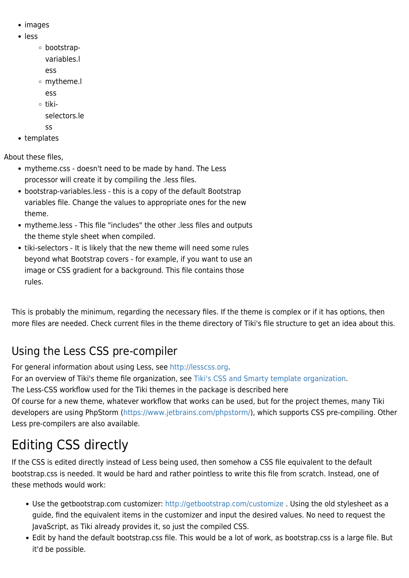- images
- less
	- bootstrapvariables.l
		- ess
	- mytheme.l
		- ess
	- tiki
		- selectors.le
		- ss
- templates

About these files,

- mytheme.css doesn't need to be made by hand. The Less processor will create it by compiling the .less files.
- bootstrap-variables.less this is a copy of the default Bootstrap variables file. Change the values to appropriate ones for the new theme.
- mytheme.less This file "includes" the other .less files and outputs the theme style sheet when compiled.
- tiki-selectors It is likely that the new theme will need some rules beyond what Bootstrap covers - for example, if you want to use an image or CSS gradient for a background. This file contains those rules.

This is probably the minimum, regarding the necessary files. If the theme is complex or if it has options, then more files are needed. Check current files in the theme directory of Tiki's file structure to get an idea about this.

### Using the Less CSS pre-compiler

For general information about using Less, see <http://lesscss.org>.

For an overview of Tiki's theme file organization, see [Tiki's CSS and Smarty template organization](https://themes.tiki.org/Tiki).

The Less-CSS workflow used for the Tiki themes in the package is described [here](https://themes.tiki.org/tiki-editpage.php?page=Tiki+Less+precompiling)

Of course for a new theme, whatever workflow that works can be used, but for the project themes, many Tiki developers are using PhpStorm (<https://www.jetbrains.com/phpstorm/>), which supports CSS pre-compiling. Other Less pre-compilers are also available.

## Editing CSS directly

If the CSS is edited directly instead of Less being used, then somehow a CSS file equivalent to the default bootstrap.css is needed. It would be hard and rather pointless to write this file from scratch. Instead, one of these methods would work:

- Use the getbootstrap.com customizer: <http://getbootstrap.com/customize>. Using the old stylesheet as a guide, find the equivalent items in the customizer and input the desired values. No need to request the JavaScript, as Tiki already provides it, so just the compiled CSS.
- Edit by hand the default bootstrap.css file. This would be a lot of work, as bootstrap.css is a large file. But it'd be possible.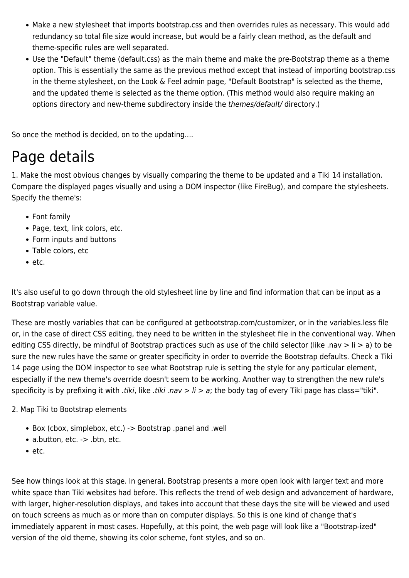- Make a new stylesheet that imports bootstrap.css and then overrides rules as necessary. This would add redundancy so total file size would increase, but would be a fairly clean method, as the default and theme-specific rules are well separated.
- Use the "Default" theme (default.css) as the main theme and make the pre-Bootstrap theme as a theme option. This is essentially the same as the previous method except that instead of importing bootstrap.css in the theme stylesheet, on the Look & Feel admin page, "Default Bootstrap" is selected as the theme, and the updated theme is selected as the theme option. (This method would also require making an options directory and new-theme subdirectory inside the themes/default/ directory.)

So once the method is decided, on to the updating....

## Page details

1. Make the most obvious changes by visually comparing the theme to be updated and a Tiki 14 installation. Compare the displayed pages visually and using a DOM inspector (like FireBug), and compare the stylesheets. Specify the theme's:

- Font family
- Page, text, link colors, etc.
- Form inputs and buttons
- Table colors, etc
- $e$  etc.

It's also useful to go down through the old stylesheet line by line and find information that can be input as a Bootstrap variable value.

These are mostly variables that can be configured at getbootstrap.com/customizer, or in the variables.less file or, in the case of direct CSS editing, they need to be written in the stylesheet file in the conventional way. When editing CSS directly, be mindful of Bootstrap practices such as use of the child selector (like .nav > li > a) to be sure the new rules have the same or greater specificity in order to override the Bootstrap defaults. Check a Tiki 14 page using the DOM inspector to see what Bootstrap rule is setting the style for any particular element, especially if the new theme's override doesn't seem to be working. Another way to strengthen the new rule's specificity is by prefixing it with *tiki*, like *tiki .nav > li > a*; the body tag of every Tiki page has class="tiki".

2. Map Tiki to Bootstrap elements

- Box (cbox, simplebox, etc.) -> Bootstrap .panel and .well
- a.button, etc. -> .btn, etc.
- $e$  etc.

See how things look at this stage. In general, Bootstrap presents a more open look with larger text and more white space than Tiki websites had before. This reflects the trend of web design and advancement of hardware, with larger, higher-resolution displays, and takes into account that these days the site will be viewed and used on touch screens as much as or more than on computer displays. So this is one kind of change that's immediately apparent in most cases. Hopefully, at this point, the web page will look like a "Bootstrap-ized" version of the old theme, showing its color scheme, font styles, and so on.